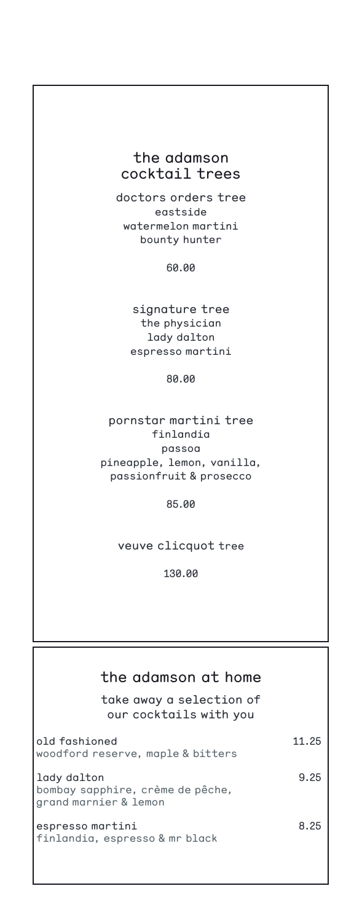# the adamson cocktail trees

doctors orders tree eastside watermelon martini bounty hunter

60.00

signature tree the physician lady dalton espresso martini

80.00

pornstar martini tree finlandia passoa pineapple, lemon, vanilla, passionfruit & prosecco

85.00

veuve clicquot tree

130.00

# the adamson at home

take away a selection of our cocktails with you

| old fashioned<br>woodford reserve, maple & bitters                       | 11.25 |
|--------------------------------------------------------------------------|-------|
| lady dalton<br>bombay sapphire, crème de pêche,<br>grand marnier & lemon | 9.25  |
| espresso martini<br>finlandia, espresso & mr black                       | 8.25  |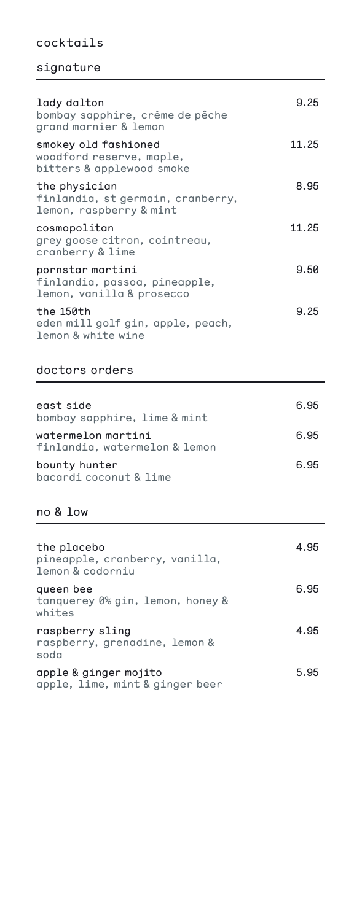# cocktails

# signature

| lady dalton<br>bombay sapphire, crème de pêche<br>grand marnier & lemon        | 9.25  |
|--------------------------------------------------------------------------------|-------|
| smokey old fashioned<br>woodford reserve, maple,<br>bitters & applewood smoke  | 11.25 |
| the physician<br>finlandia, st germain, cranberry,<br>lemon, raspberry & mint  | 8.95  |
| cosmopolitan<br>grey goose citron, cointreau,<br>cranberry & lime              | 11.25 |
| pornstar martini<br>finlandia, passoa, pineapple,<br>lemon, vanilla & prosecco | 9.50  |
| the 150th<br>eden mill golf gin, apple, peach,<br>lemon & white wine           | 9.25  |

# doctors orders

| east side<br>bombay sapphire, lime & mint           | 6.95 |
|-----------------------------------------------------|------|
| watermelon martini<br>finlandia, watermelon & lemon | 6.95 |
| bounty hunter<br>bacardi coconut & lime             | 6.95 |

### no & low

| the placebo<br>pineapple, cranberry, vanilla,<br>lemon & codorniu | 4.95 |
|-------------------------------------------------------------------|------|
| queen bee<br>tanguerey 0% gin, lemon, honey &<br>whites           | 6.95 |
| raspberry sling<br>raspberry, grenadine, lemon &<br>soda          | 4.95 |
| apple & ginger mojito<br>apple, lime, mint & ginger beer          | 5.95 |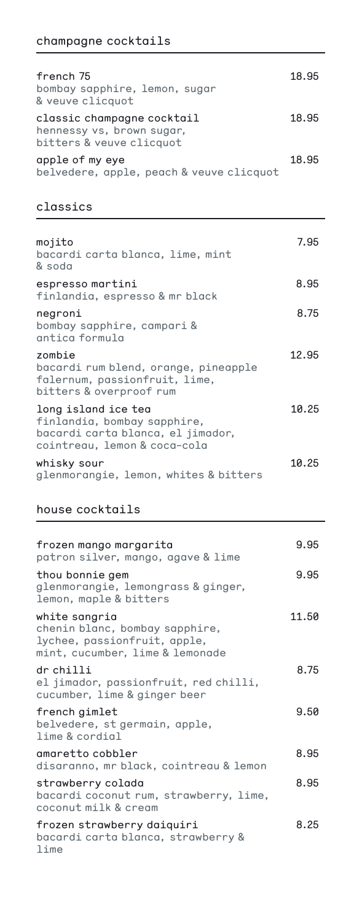| french 75<br>bombay sapphire, lemon, sugar<br>& veuve clicquot                      | 18.95 |
|-------------------------------------------------------------------------------------|-------|
| classic champagne cocktail<br>hennessy vs, brown sugar,<br>bitters & veuve clicquot | 18.95 |
| apple of my eye<br>belvedere, apple, peach & veuve clicquot                         | 18.95 |

## classics

| mojito<br>bacardi carta blanca, lime, mint<br>& soda                                                                    | 7.95  |
|-------------------------------------------------------------------------------------------------------------------------|-------|
| espresso martini<br>finlandia, espresso & mr black                                                                      | 8.95  |
| negroni<br>bombay sapphire, campari &<br>antica formula                                                                 | 8.75  |
| zombie<br>bacardi rum blend, orange, pineapple<br>falernum, passionfruit, lime,<br>bitters & overproof rum              | 12.95 |
| long island ice tea<br>finlandia, bombay sapphire,<br>bacardi carta blanca, el jimador,<br>cointreau, lemon & coca-cola | 10.25 |
| whisky sour<br>glenmorangie, lemon, whites & bitters                                                                    | 10.25 |

# house cocktails

| frozen mango margarita<br>patron silver, mango, agave & lime                                                       | 9.95  |
|--------------------------------------------------------------------------------------------------------------------|-------|
| thou bonnie gem<br>glenmorangie, lemongrass & ginger,<br>lemon, maple & bitters                                    | 9.95  |
| white sangria<br>chenin blanc, bombay sapphire,<br>lychee, passionfruit, apple,<br>mint, cucumber, lime & lemonade | 11.50 |
| dr chilli<br>el jimador, passionfruit, red chilli,<br>cucumber, lime & ginger beer                                 | 8.75  |
| french gimlet<br>belvedere, st germain, apple,<br>lime & cordial                                                   | 9.50  |
| amaretto cobbler<br>disaranno, mr black, cointreau & lemon                                                         | 8.95  |
| strawberry colada<br>bacardi coconut rum, strawberry, lime,<br>coconut milk & cream                                | 8.95  |
| frozen strawberry daiquiri<br>bacardi carta blanca, strawberry &<br>lime                                           | 8.25  |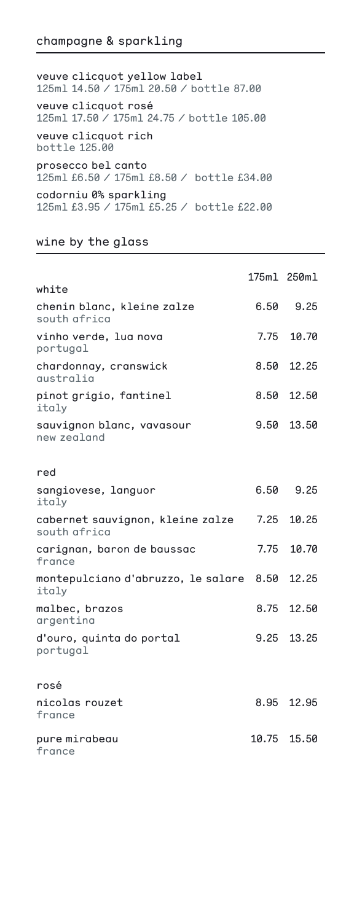### champagne & sparkling

veuve clicquot yellow label 125ml 14.50 / 175ml 20.50 / bottle 87.00 veuve clicquot rosé 125ml 17.50 / 175ml 24.75 / bottle 105.00 veuve clicquot rich bottle 125.00 prosecco bel canto 125ml £6.50 / 175ml £8.50 / bottle £34.00 codorniu 0% sparkling 125ml £3.95 / 175ml £5.25 / bottle £22.00

#### wine by the glass

|                                                  |       | 175ml 250ml |
|--------------------------------------------------|-------|-------------|
| white                                            |       |             |
| chenin blanc, kleine zalze<br>south africa       | 6.50  | 9.25        |
| vinho verde, lua nova<br>portugal                | 7.75  | 10.70       |
| chardonnay, cranswick<br>qustralia               | 8.50  | 12.25       |
| pinot grigio, fantinel<br>italy                  | 8.50  | 12.50       |
| sauvignon blanc, vavasour<br>new zealand         | 9.50  | 13.50       |
| red                                              |       |             |
| sangiovese, languor<br>italy                     | 6.50  | 9.25        |
| cabernet sauvignon, kleine zalze<br>south africa | 7.25  | 10.25       |
| carignan, baron de baussac<br>france             | 7.75  | 10.70       |
| montepulciano d'abruzzo, le salare 8.50<br>italy |       | 12.25       |
| malbec, brazos<br>argentina                      | 8.75  | 12.50       |
| d'ouro, quinta do portal<br>portugal             | 9.25  | 13.25       |
| rosé                                             |       |             |
| nicolas rouzet<br>france                         |       | 8.95 12.95  |
| pure mirabeau<br>france                          | 10.75 | 15.50       |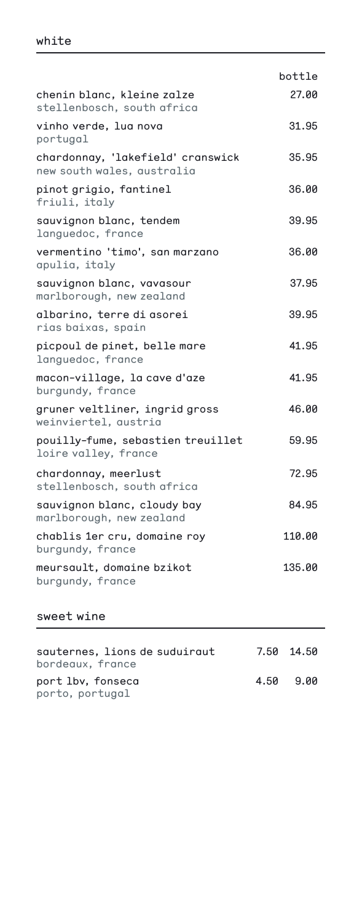|                                                                 | bottle |
|-----------------------------------------------------------------|--------|
| chenin blanc, kleine zalze<br>stellenbosch, south africa        | 27.00  |
| vinho verde, lua nova<br>portugal                               | 31.95  |
| chardonnay, 'lakefield' cranswick<br>new south wales, australia | 35.95  |
| pinot grigio, fantinel<br>friuli, italy                         | 36.00  |
| sauvignon blanc, tendem<br>languedoc, france                    | 39.95  |
| vermentino 'timo', san marzano<br>apulia, italy                 | 36.00  |
| sauvignon blanc, vavasour<br>marlborough, new zealand           | 37.95  |
| albarino, terre di asorei<br>rias baixas, spain                 | 39.95  |
| picpoul de pinet, belle mare<br>languedoc, france               | 41.95  |
| macon-village, la cave d'aze<br>burgundy, france                | 41.95  |
| gruner veltliner, ingrid gross<br>weinviertel, austria          | 46.00  |
| pouilly-fume, sebastien treuillet<br>loire valley, france       | 59.95  |
| chardonnay, meerlust<br>stellenbosch, south africa              | 72.95  |
| sauvignon blanc, cloudy bay<br>marlborough, new zealand         | 84.95  |
| chablis 1er cru, domaine roy<br>burgundy, france                | 110.00 |
| meursault, domaine bzikot<br>burgundy, france                   | 135.00 |

# sweet wine

| squternes. Lions de suduirqut<br>bordeaux, france |      | 7.50 14.50 |
|---------------------------------------------------|------|------------|
| port lbv, fonseca<br>porto, portugal              | 4.50 | 9.00       |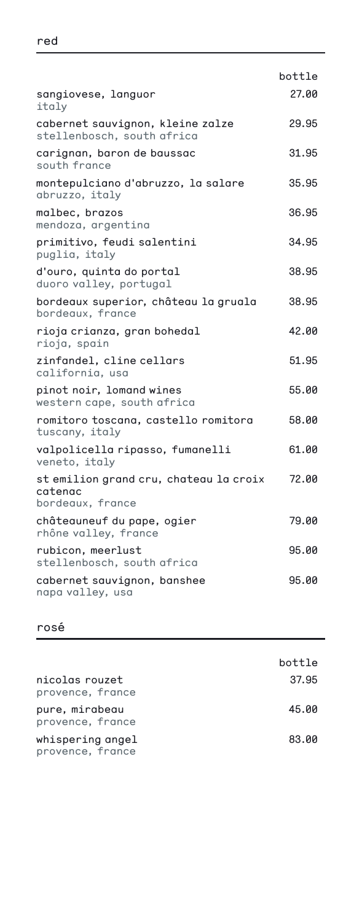|                                                                       | bottle |
|-----------------------------------------------------------------------|--------|
| sangiovese, languor<br>italy                                          | 27.00  |
| cabernet sauvignon, kleine zalze<br>stellenbosch, south africa        | 29.95  |
| carignan, baron de baussac<br>south france                            | 31.95  |
| montepulciano d'abruzzo, la salare<br>abruzzo, italy                  | 35.95  |
| malbec, brazos<br>mendoza, argentina                                  | 36.95  |
| primitivo, feudi salentini<br>puglia, italy                           | 34.95  |
| d'ouro, quinta do portal<br>duoro valley, portugal                    | 38.95  |
| bordeaux superior, château la gruala<br>bordeaux, france              | 38.95  |
| rioja crianza, gran bohedal<br>rioja, spain                           | 42.00  |
| zinfandel, cline cellars<br>california, usa                           | 51.95  |
| pinot noir, lomand wines<br>western cape, south africa                | 55.00  |
| romitoro toscana, castello romitora<br>tuscany, italy                 | 58.00  |
| valpolicella ripasso, fumanelli<br>veneto, italy                      | 61.00  |
| st emilion grand cru, chateau la croix<br>catenac<br>bordeaux, france | 72.00  |
| châteauneuf du pape, ogier<br>rhône valley, france                    | 79.00  |
| rubicon, meerlust<br>stellenbosch, south africa                       | 95.00  |
| cabernet sauvignon, banshee<br>napa valley, usa                       | 95.00  |

### rosé

|                                      | bottle |
|--------------------------------------|--------|
| nicolas rouzet<br>provence, france   | 37.95  |
| pure, mirabeau<br>provence, france   | 45.00  |
| whispering angel<br>provence, france | 83.00  |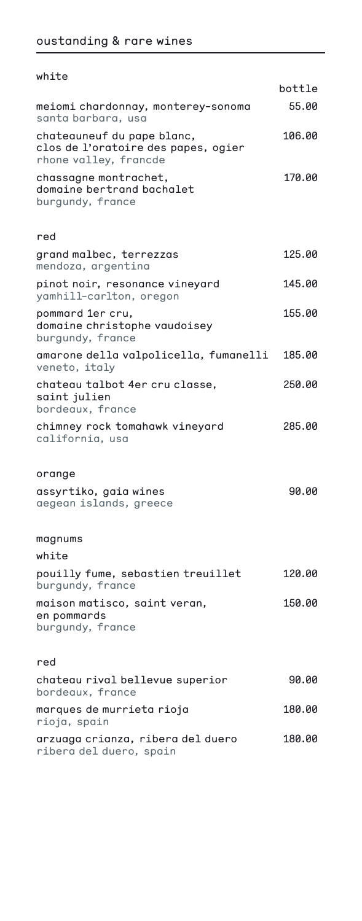| white                                                                                      |        |
|--------------------------------------------------------------------------------------------|--------|
|                                                                                            | bottle |
| meiomi chardonnay, monterey-sonoma<br>santa barbara, usa                                   | 55.00  |
| chateauneuf du pape blanc,<br>clos de l'oratoire des papes, ogier<br>rhone valley, francde | 106.00 |
| chassagne montrachet,<br>domaine bertrand bachalet<br>burgundy, france                     | 170.00 |
| red                                                                                        |        |
| grand malbec, terrezzas<br>mendoza, argentina                                              | 125.00 |
| pinot noir, resonance vineyard<br>yamhill-carlton, oregon                                  | 145.00 |
| pommard 1er cru,<br>domaine christophe vaudoisey<br>burgundy, france                       | 155.00 |
| amarone della valpolicella, fumanelli<br>veneto, italy                                     | 185.00 |
| chateau talbot 4er cru classe,<br>saint julien<br>bordeaux, france                         | 250.00 |
| chimney rock tomahawk vineyard<br>california, usa                                          | 285.00 |
| orange                                                                                     |        |
| assyrtiko, gaia wines<br>aegean islands, greece                                            | 90.00  |
| magnums                                                                                    |        |
| white                                                                                      |        |
| pouilly fume, sebastien treuillet<br>burgundy, france                                      | 120.00 |
| maison matisco, saint veran,<br>en pommards<br>burgundy, france                            | 150.00 |
| red                                                                                        |        |
| chateau rival bellevue superior<br>bordeaux, france                                        | 90.00  |
| marques de murrieta rioja<br>rioja, spain                                                  | 180.00 |

arzuaga crianza, ribera del duero 180.00 ribera del duero, spain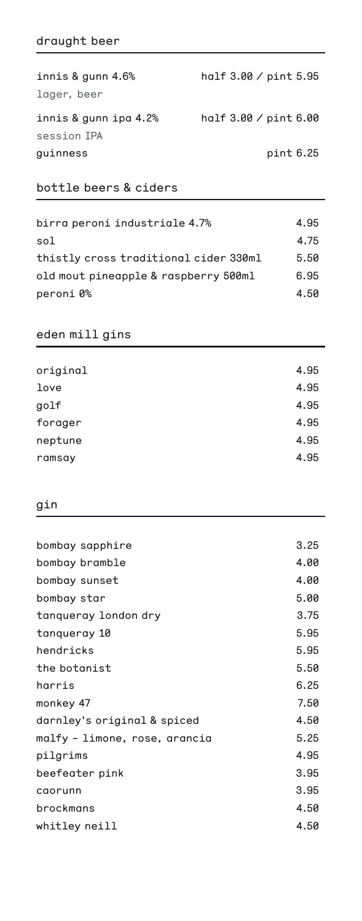# draught beer

| innis & gunn 4.6%     | half $3.00 /$ pint $5.95$ |
|-----------------------|---------------------------|
| lager, beer           |                           |
| innis & gunn ipa 4.2% | half $3.00 /$ pint $6.00$ |
| session IPA           |                           |
| guinness              | pint 6.25                 |

# bottle beers & ciders

| birra peroni industriale 4.7%         | 4.95 |
|---------------------------------------|------|
| sol                                   | 4.75 |
| thistly cross traditional cider 330ml | 5.50 |
| old mout pineapple & raspberry 500ml  | 6.95 |
| peroni 0%                             | 4.50 |

# eden mill gins

| original | 4.95 |
|----------|------|
| love     | 4.95 |
| golf     | 4.95 |
| forager  | 4.95 |
| neptune  | 4.95 |
| ramsay   | 4.95 |
|          |      |

### gin

| bombay sapphire               | 3.25 |
|-------------------------------|------|
| bombay bramble                | 4.00 |
| bombay sunset                 | 4.00 |
| bombay star                   | 5.00 |
| tangueray london dry          | 3.75 |
| tangueray 10                  | 5.95 |
| hendricks                     | 5.95 |
| the botanist                  | 5.50 |
| harris                        | 6.25 |
| monkey 47                     | 7.50 |
| darnley's original & spiced   | 4.50 |
| malfy – limone, rose, arancia | 5.25 |
| pilgrims                      | 4.95 |
| beefeater pink                | 3.95 |
| caorunn                       | 3.95 |
| brockmans                     | 4.50 |
| whitley neill                 | 4.50 |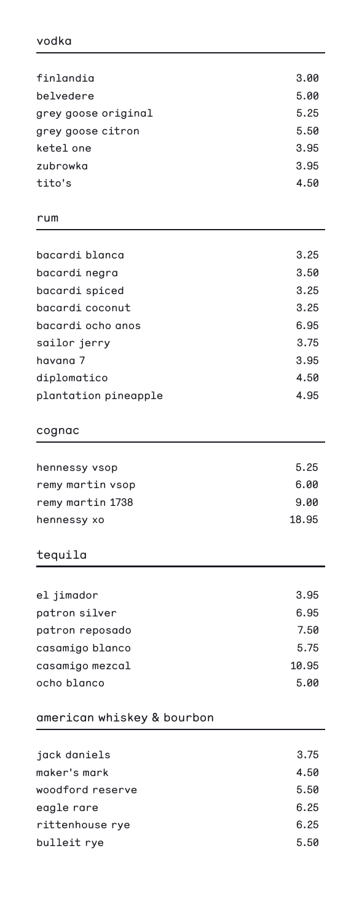| finlandia           | 3.00 |
|---------------------|------|
| belvedere           | 5.00 |
| grey goose original | 5.25 |
| grey goose citron   | 5.50 |
| ketel one           | 3.95 |
| zubrowka            | 3.95 |
| tito's              | 4.50 |

#### rum

| bacardi blanca       | 3.25 |
|----------------------|------|
| bacardi negra        | 3.50 |
| bacardi spiced       | 3.25 |
| bacardi coconut      | 3.25 |
| bacardi ocho anos    | 6.95 |
| sailor jerry         | 3.75 |
| havana 7             | 3.95 |
| diplomatico          | 4.50 |
| plantation pineapple | 4.95 |

#### cognac

| 5.25  |
|-------|
| 6.00  |
| 9.00  |
| 18.95 |
|       |

# tequila

| el jimador      | 3.95  |
|-----------------|-------|
| patron silver   | 6.95  |
| patron reposado | 7.50  |
| casamigo blanco | 5.75  |
| casamigo mezcal | 10.95 |
| ocho blanco     | 5.00  |

# american whiskey & bourbon

| jack daniels     | 3.75 |
|------------------|------|
| maker's mark     | 4.50 |
| woodford reserve | 5.50 |
| eagle rare       | 6.25 |
| rittenhouse rye  | 6.25 |
| bulleit rye      | 5.50 |
|                  |      |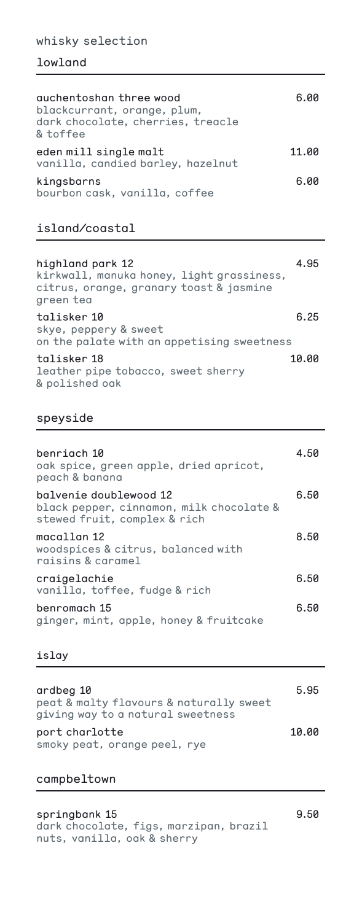#### whisky selection

### lowland

| quchentoshan three wood<br>blackcurrant, orange, plum,<br>dark chocolate, cherries, treacle<br>& toffee | 6.00  |
|---------------------------------------------------------------------------------------------------------|-------|
| eden mill single malt<br>vanilla, candied barley, hazelnut                                              | 11.00 |
| kingsbarns<br>bourbon cask, vanilla, coffee                                                             | 6.00  |

# island/coastal

| highland park 12<br>kirkwall, manuka honey, light grassiness,<br>citrus, orange, granary toast & jasmine<br>green tea | 4.95  |
|-----------------------------------------------------------------------------------------------------------------------|-------|
| talisker 10<br>skye, peppery & sweet<br>on the palate with an appetising sweetness                                    | 6.25  |
| talisker 18<br>leather pipe tobacco, sweet sherry<br>& polished oak                                                   | 10.00 |

#### speyside

| benriach 10<br>oak spice, green apple, dried apricot,<br>peach & banana                            | 4.50 |
|----------------------------------------------------------------------------------------------------|------|
| balvenie doublewood 12<br>black pepper, cinnamon, milk chocolate &<br>stewed fruit, complex & rich | 6.50 |
| macallan 12<br>woodspices & citrus, balanced with<br>raisins & caramel                             | 8.50 |
| craigelachie<br>vanilla, toffee, fudge & rich                                                      | 6.50 |
| benromach 15<br>ginger, mint, apple, honey & fruitcake                                             | 6.50 |

#### islay

| ardbeg 10<br>peat & malty flavours & naturally sweet<br>giving way to a natural sweetness | 5.95  |
|-------------------------------------------------------------------------------------------|-------|
| port charlotte<br>smoky peat, orange peel, rye                                            | 10.00 |

# campbeltown

springbank 15 9.50 dark chocolate, figs, marzipan, brazil nuts, vanilla, oak & sherry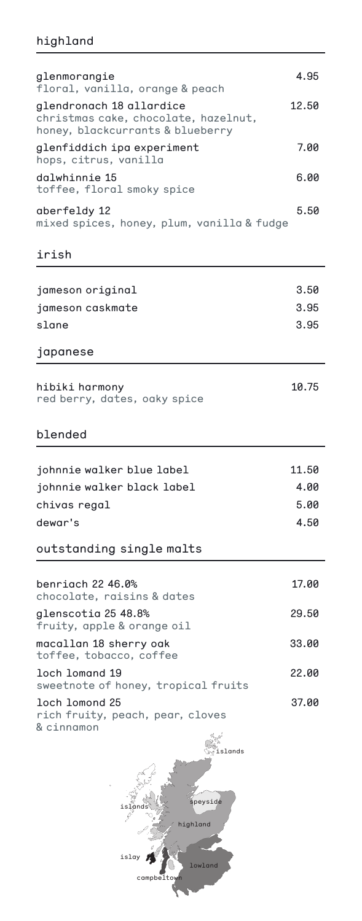# highland

| glenmorangie<br>floral, vanilla, orange & peach                                                      | 4.95  |
|------------------------------------------------------------------------------------------------------|-------|
| glendronach 18 allardice<br>christmas cake, chocolate, hazelnut,<br>honey, blackcurrants & blueberry | 12.50 |
| glenfiddich ipa experiment<br>hops, citrus, vanilla                                                  | 7.00  |
| dalwhinnie 15<br>toffee, floral smoky spice                                                          | 6.00  |
| aberfeldy 12<br>mixed spices, honey, plum, vanilla & fudge                                           | 5.50  |
| irish                                                                                                |       |
| jameson original                                                                                     | 3.50  |
| jameson caskmate                                                                                     | 3.95  |
| slane                                                                                                | 3.95  |
| japanese                                                                                             |       |
| hibiki harmony<br>red berry, dates, oaky spice                                                       | 10.75 |
| blended                                                                                              |       |
| johnnie walker blue label                                                                            | 11.50 |
| johnnie walker black label                                                                           | 4.00  |
| chivas regal                                                                                         | 5.00  |
| dewar's                                                                                              | 4.50  |
| outstanding single malts                                                                             |       |
| benriach 22 46.0%<br>chocolate, raisins & dates                                                      | 17.00 |
| glenscotia 25 48.8%<br>fruity, apple & orange oil                                                    | 29.50 |
| macallan 18 sherry oak<br>toffee, tobacco, coffee                                                    | 33.00 |
| loch lomand 19<br>sweetnote of honey, tropical fruits                                                | 22.00 |
| loch lomond 25<br>rich fruity, peach, pear, cloves<br>& cinnamon<br>islands                          | 37.00 |
| eyside                                                                                               |       |